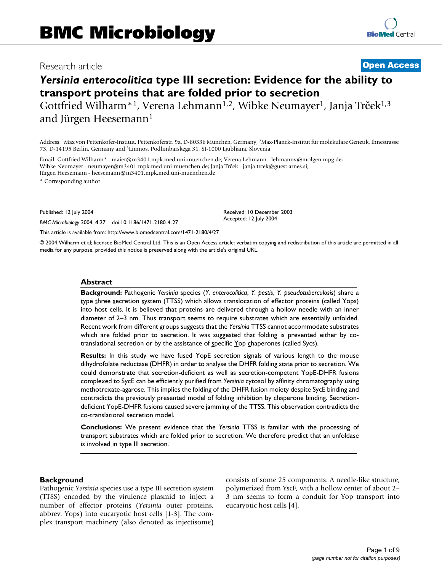## Research article **[Open Access](http://www.biomedcentral.com/info/about/charter/)**

# *Yersinia enterocolitica* **type III secretion: Evidence for the ability to transport proteins that are folded prior to secretion**

Gottfried Wilharm<sup>\*1</sup>, Verena Lehmann<sup>1,2</sup>, Wibke Neumayer<sup>1</sup>, Janja Trček<sup>1,3</sup> and Jürgen Heesemann<sup>1</sup>

Address: 1Max von Pettenkofer-Institut, Pettenkoferstr. 9a, D-80336 München, Germany, 2Max-Planck-Institut für molekulare Genetik, Ihnestrasse 73, D-14195 Berlin, Germany and 3Limnos, Podlimbarskega 31, SI-1000 Ljubljana, Slovenia

Email: Gottfried Wilharm\* - maier@m3401.mpk.med.uni-muenchen.de; Verena Lehmann - lehmannv@molgen.mpg.de; Wibke Neumayer - neumayer@m3401.mpk.med.uni-muenchen.de; Janja Trček - janja.trcek@guest.arnes.si; Jürgen Heesemann - heesemann@m3401.mpk.med.uni-muenchen.de

\* Corresponding author

Published: 12 July 2004

*BMC Microbiology* 2004, **4**:27 doi:10.1186/1471-2180-4-27

[This article is available from: http://www.biomedcentral.com/1471-2180/4/27](http://www.biomedcentral.com/1471-2180/4/27)

© 2004 Wilharm et al; licensee BioMed Central Ltd. This is an Open Access article: verbatim copying and redistribution of this article are permitted in all media for any purpose, provided this notice is preserved along with the article's original URL.

Received: 10 December 2003 Accepted: 12 July 2004

#### **Abstract**

**Background:** Pathogenic *Yersinia* species (*Y. enterocolitica*, *Y. pestis*, *Y. pseudotuberculosis*) share a type three secretion system (TTSS) which allows translocation of effector proteins (called Yops) into host cells. It is believed that proteins are delivered through a hollow needle with an inner diameter of 2–3 nm. Thus transport seems to require substrates which are essentially unfolded. Recent work from different groups suggests that the *Yersinia* TTSS cannot accommodate substrates which are folded prior to secretion. It was suggested that folding is prevented either by cotranslational secretion or by the assistance of specific Yop chaperones (called Sycs).

**Results:** In this study we have fused YopE secretion signals of various length to the mouse dihydrofolate reductase (DHFR) in order to analyse the DHFR folding state prior to secretion. We could demonstrate that secretion-deficient as well as secretion-competent YopE-DHFR fusions complexed to SycE can be efficiently purified from *Yersinia* cytosol by affinity chromatography using methotrexate-agarose. This implies the folding of the DHFR fusion moiety despite SycE binding and contradicts the previously presented model of folding inhibition by chaperone binding. Secretiondeficient YopE-DHFR fusions caused severe jamming of the TTSS. This observation contradicts the co-translational secretion model.

**Conclusions:** We present evidence that the *Yersinia* TTSS is familiar with the processing of transport substrates which are folded prior to secretion. We therefore predict that an unfoldase is involved in type III secretion.

#### **Background**

Pathogenic *Yersinia* species use a type III secretion system (TTSS) encoded by the virulence plasmid to inject a number of effector proteins (*Yersinia* <u>o</u>uter proteins, abbrev. Yops) into eucaryotic host cells [\[1](#page-7-0)-[3](#page-7-1)]. The complex transport machinery (also denoted as injectisome) consists of some 25 components. A needle-like structure, polymerized from YscF, with a hollow center of about 2– 3 nm seems to form a conduit for Yop transport into eucaryotic host cells [\[4\]](#page-7-2).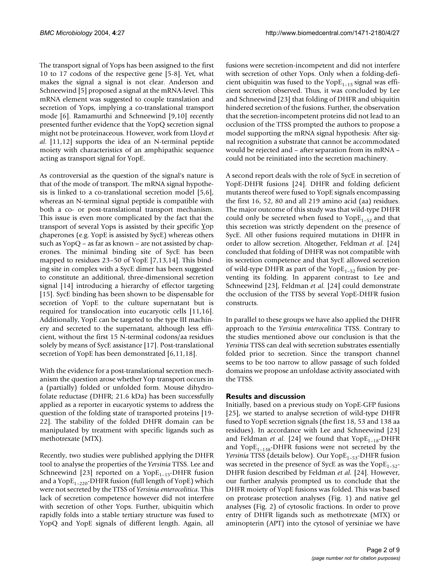The transport signal of Yops has been assigned to the first 10 to 17 codons of the respective gene [5-8]. Yet, what makes the signal a signal is not clear. Anderson and Schneewind [5] proposed a signal at the mRNA-level. This mRNA element was suggested to couple translation and secretion of Yops, implying a co-translational transport mode [[6](#page-7-3)]. Ramamurthi and Schneewind [\[9,](#page-7-4)[10\]](#page-8-0) recently presented further evidence that the YopQ secretion signal might not be proteinaceous. However, work from Lloyd *et al*. [[11,](#page-8-1)12] supports the idea of an N-terminal peptide moiety with characteristics of an amphipathic sequence acting as transport signal for YopE.

As controversial as the question of the signal's nature is that of the mode of transport. The mRNA signal hypothesis is linked to a co-translational secretion model [5,[6](#page-7-3)], whereas an N-terminal signal peptide is compatible with both a co- or post-translational transport mechanism. This issue is even more complicated by the fact that the transport of several Yops is assisted by their specific Yop chaperones (e.g. YopE is assisted by SycE) whereas others such as YopQ – as far as known – are not assisted by chaperones. The minimal binding site of SycE has been mapped to residues 23–50 of YopE [[7](#page-7-5)[,13](#page-8-2),14]. This binding site in complex with a SycE dimer has been suggested to constitute an additional, three-dimensional secretion signal [14] introducing a hierarchy of effector targeting [[15](#page-8-3)]. SycE binding has been shown to be dispensable for secretion of YopE to the culture supernatant but is required for translocation into eucaryotic cells [[11](#page-8-1)[,16](#page-8-4)]. Additionally, YopE can be targeted to the type III machinery and secreted to the supernatant, although less efficient, without the first 15 N-terminal codons/aa residues solely by means of SycE assistance [17]. Post-translational secretion of YopE has been demonstrated [\[6](#page-7-3)[,11](#page-8-1)[,18](#page-8-5)].

With the evidence for a post-translational secretion mechanism the question arose whether Yop transport occurs in a (partially) folded or unfolded form. Mouse dihydrofolate reductase (DHFR; 21.6 kDa) has been successfully applied as a reporter in eucaryotic systems to address the question of the folding state of transported proteins [19- 22]. The stability of the folded DHFR domain can be manipulated by treatment with specific ligands such as methotrexate (MTX).

Recently, two studies were published applying the DHFR tool to analyse the properties of the *Yersinia* TTSS. Lee and Schneewind [\[23\]](#page-8-6) reported on a Yop $E_{1-15}$ -DHFR fusion and a Yop $E_{1-220}$ -DHFR fusion (full length of YopE) which were not secreted by the TTSS of *Yersinia enterocolitica*. This lack of secretion competence however did not interfere with secretion of other Yops. Further, ubiquitin which rapidly folds into a stable tertiary structure was fused to YopQ and YopE signals of different length. Again, all

fusions were secretion-incompetent and did not interfere with secretion of other Yops. Only when a folding-deficient ubiquitin was fused to the Yop $E_{1-15}$  signal was efficient secretion observed. Thus, it was concluded by Lee and Schneewind [\[23](#page-8-6)] that folding of DHFR and ubiquitin hindered secretion of the fusions. Further, the observation that the secretion-incompetent proteins did not lead to an occlusion of the TTSS prompted the authors to propose a model supporting the mRNA signal hypothesis: After signal recognition a substrate that cannot be accommodated would be rejected and – after separation from its mRNA – could not be reinitiated into the secretion machinery.

A second report deals with the role of SycE in secretion of YopE-DHFR fusions [\[24](#page-8-7)]. DHFR and folding deficient mutants thereof were fused to YopE signals encompassing the first 16, 52, 80 and all 219 amino acid (aa) residues. The major outcome of this study was that wild-type DHFR could only be secreted when fused to  $Y^{OPE}$ <sub>1–52</sub> and that this secretion was strictly dependent on the presence of SycE. All other fusions required mutations in DHFR in order to allow secretion. Altogether, Feldman *et al.* [[24\]](#page-8-7) concluded that folding of DHFR was not compatible with its secretion competence and that SycE allowed secretion of wild-type DHFR as part of the Yop $E_{1-52}$  fusion by preventing its folding. In apparent contrast to Lee and Schneewind [[23](#page-8-6)], Feldman *et al.* [\[24](#page-8-7)] could demonstrate the occlusion of the TTSS by several YopE-DHFR fusion constructs.

In parallel to these groups we have also applied the DHFR approach to the *Yersinia enterocolitica* TTSS. Contrary to the studies mentioned above our conclusion is that the *Yersinia* TTSS can deal with secretion substrates essentially folded prior to secretion. Since the transport channel seems to be too narrow to allow passage of such folded domains we propose an unfoldase activity associated with the TTSS.

## **Results and discussion**

Initially, based on a previous study on YopE-GFP fusions [[25](#page-8-8)], we started to analyse secretion of wild-type DHFR fused to YopE secretion signals (the first 18, 53 and 138 aa residues). In accordance with Lee and Schneewind [[23\]](#page-8-6) and Feldman *et al.* [\[24\]](#page-8-7) we found that  $Y$ op $E_{1-18}$ -DHFR and Yop $E_{1-138}$ -DHFR fusions were not secreted by the *Yersinia* TTSS (details below). Our YopE<sub>1-53</sub>-DHFR fusion was secreted in the presence of SycE as was the  $Y$ op $E_{1-52}$ -DHFR fusion described by Feldman *et al.* [\[24\]](#page-8-7). However, our further analysis prompted us to conclude that the DHFR moiety of YopE fusions was folded. This was based on protease protection analyses (Fig. 1) and native gel analyses (Fig. 2) of cytosolic fractions. In order to prove entry of DHFR ligands such as methotrexate (MTX) or aminopterin (APT) into the cytosol of yersiniae we have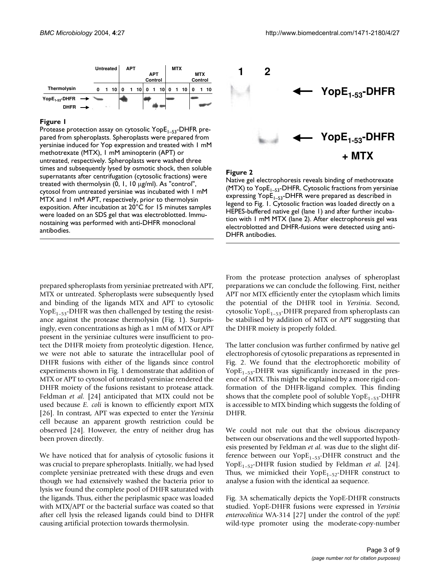

## Protease protection assay on cytosolic YopE1–53 pared from spheroplasts **Figure 1** -DHFR pre-

Protease protection assay on cytosolic YopE<sub>1–53</sub>-DHFR prepared from spheroplasts. Spheroplasts were prepared from yersiniae induced for Yop expression and treated with 1 mM methotrexate (MTX), 1 mM aminopterin (APT) or untreated, respectively. Spheroplasts were washed three times and subsequently lysed by osmotic shock, then soluble supernatants after centrifugation (cytosolic fractions) were treated with thermolysin (0, 1, 10 µg/ml). As "control", cytosol from untreated yersiniae was incubated with 1 mM MTX and 1 mM APT, respectively, prior to thermolysin exposition. After incubation at 20°C for 15 minutes samples were loaded on an SDS gel that was electroblotted. Immunostaining was performed with anti-DHFR monoclonal antibodies.



Figure 2

Native gel electrophoresis reveals binding of methotrexate (MTX) to Yop $E_{1-53}$ -DHFR. Cytosolic fractions from yersiniae expressing  $Y$ op $E_{1-53}$ -DHFR were prepared as described in legend to Fig. 1. Cytosolic fraction was loaded directly on a HEPES-buffered native gel (lane 1) and after further incubation with 1 mM MTX (lane 2). After electrophoresis gel was electroblotted and DHFR-fusions were detected using anti-DHFR antibodies.

prepared spheroplasts from yersiniae pretreated with APT, MTX or untreated. Spheroplasts were subsequently lysed and binding of the ligands MTX and APT to cytosolic Yop $E_{1-53}$ -DHFR was then challenged by testing the resistance against the protease thermolysin (Fig. 1). Surprisingly, even concentrations as high as 1 mM of MTX or APT present in the yersiniae cultures were insufficient to protect the DHFR moiety from proteolytic digestion. Hence, we were not able to saturate the intracellular pool of DHFR fusions with either of the ligands since control experiments shown in Fig. 1 demonstrate that addition of MTX or APT to cytosol of untreated yersiniae rendered the DHFR moiety of the fusions resistant to protease attack. Feldman *et al.* [\[24](#page-8-7)] anticipated that MTX could not be used because *E. coli* is known to efficiently export MTX [26]. In contrast, APT was expected to enter the *Yersinia* cell because an apparent growth restriction could be observed [[24\]](#page-8-7). However, the entry of neither drug has been proven directly.

We have noticed that for analysis of cytosolic fusions it was crucial to prepare spheroplasts. Initially, we had lysed complete yersiniae pretreated with these drugs and even though we had extensively washed the bacteria prior to lysis we found the complete pool of DHFR saturated with the ligands. Thus, either the periplasmic space was loaded with MTX/APT or the bacterial surface was coated so that after cell lysis the released ligands could bind to DHFR causing artificial protection towards thermolysin.

From the protease protection analyses of spheroplast preparations we can conclude the following. First, neither APT nor MTX efficiently enter the cytoplasm which limits the potential of the DHFR tool in *Yersinia*. Second, cytosolic Yop $E_{1-53}$ -DHFR prepared from spheroplasts can be stabilised by addition of MTX or APT suggesting that the DHFR moiety is properly folded.

The latter conclusion was further confirmed by native gel electrophoresis of cytosolic preparations as represented in Fig. 2. We found that the electrophoretic mobility of Yop $E_{1-53}$ -DHFR was significantly increased in the presence of MTX. This might be explained by a more rigid conformation of the DHFR-ligand complex. This finding shows that the complete pool of soluble  $\text{YopE}_{1-53}$ -DHFR is accessible to MTX binding which suggests the folding of DHFR.

We could not rule out that the obvious discrepancy between our observations and the well supported hypothesis presented by Feldman *et al.* was due to the slight difference between our  $Y$ op $E_{1-53}$ -DHFR construct and the YopE<sub>1-52</sub>-DHFR fusion studied by Feldman et al. [\[24](#page-8-7)]. Thus, we mimicked their Yop $E_{1-52}$ -DHFR construct to analyse a fusion with the identical aa sequence.

Fig. 3A schematically depicts the YopE-DHFR constructs studied. YopE-DHFR fusions were expressed in *Yersinia enterocolitica* WA-314 [27] under the control of the *yopE* wild-type promoter using the moderate-copy-number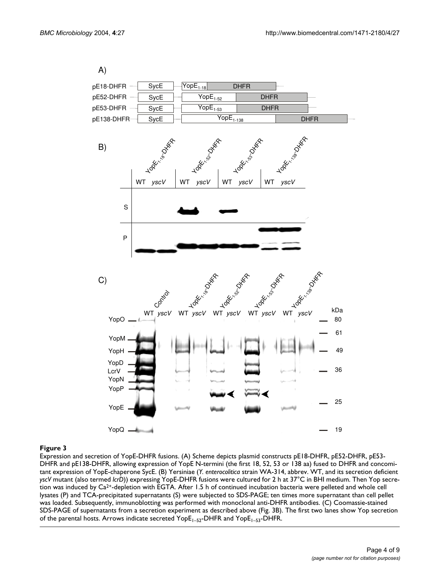

#### Figure 3

Expression and secretion of YopE-DHFR fusions. (A) Scheme depicts plasmid constructs pE18-DHFR, pE52-DHFR, pE53- DHFR and pE138-DHFR, allowing expression of YopE N-termini (the first 18, 52, 53 or 138 aa) fused to DHFR and concomitant expression of YopE-chaperone SycE. (B) Yersiniae (*Y. enterocolitica* strain WA-314, abbrev. WT, and its secretion deficient *yscV* mutant (also termed *lcrD*)) expressing YopE-DHFR fusions were cultured for 2 h at 37°C in BHI medium. Then Yop secretion was induced by Ca2+-depletion with EGTA. After 1.5 h of continued incubation bacteria were pelleted and whole cell lysates (P) and TCA-precipitated supernatants (S) were subjected to SDS-PAGE; ten times more supernatant than cell pellet was loaded. Subsequently, immunoblotting was performed with monoclonal anti-DHFR antibodies. (C) Coomassie-stained SDS-PAGE of supernatants from a secretion experiment as described above (Fig. 3B). The first two lanes show Yop secretion of the parental hosts. Arrows indicate secreted YopE<sub>1–52</sub>-DHFR and YopE<sub>1–53</sub>-DHFR.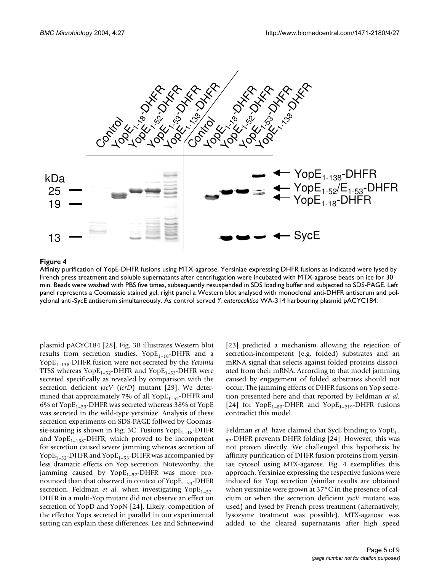

#### **Figure 4**

Affinity purification of YopE-DHFR fusions using MTX-agarose. Yersiniae expressing DHFR fusions as indicated were lysed by French press treatment and soluble supernatants after centrifugation were incubated with MTX-agarose beads on ice for 30 min. Beads were washed with PBS five times, subsequently resuspended in SDS loading buffer and subjected to SDS-PAGE. Left panel represents a Coomassie stained gel, right panel a Western blot analysed with monoclonal anti-DHFR antiserum and polyclonal anti-SycE antiserum simultaneously. As control served *Y. enterocolitica* WA-314 harbouring plasmid pACYC184.

plasmid pACYC184 [28]. Fig. 3B illustrates Western blot results from secretion studies.  $Y$ op $E_{1-18}$ -DHFR and a YopE1–138-DHFR fusion were not secreted by the *Yersinia* TTSS whereas  $Y$ op $E_{1-52}$ -DHFR and  $Y$ op $E_{1-53}$ -DHFR were secreted specifically as revealed by comparison with the secretion deficient *yscV* (*lcrD*) mutant [\[29](#page-8-9)]. We determined that approximately 7% of all  $YopE_{1-52}$ -DHFR and 6% of YopE<sub>1-53</sub>-DHFR was secreted whereas 38% of YopE was secreted in the wild-type yersiniae. Analysis of these secretion experiments on SDS-PAGE follwed by Coomassie-staining is shown in Fig. 3C. Fusions  $YopE_{1-18}-DHFR$ and Yop $E_{1-138}$ -DHFR, which proved to be incompetent for secretion caused severe jamming whereas secretion of Yop $E_{1-52}$ -DHFR and Yop $E_{1-53}$ -DHFR was accompanied by less dramatic effects on Yop secretion. Noteworthy, the jamming caused by  $Y \text{op} E_{1-52}$ -DHFR was more pronounced than that observed in context of  $\text{YopE}_{1-53}$ -DHFR secretion. Feldman *et al.* when investigating  $Y$ op $E_{1-52}$ -DHFR in a multi-Yop mutant did not observe an effect on secretion of YopD and YopN [\[24](#page-8-7)]. Likely, competition of the effector Yops secreted in parallel in our experimental setting can explain these differences. Lee and Schneewind

[[23](#page-8-6)] predicted a mechanism allowing the rejection of secretion-incompetent (e.g. folded) substrates and an mRNA signal that selects against folded proteins dissociated from their mRNA. According to that model jamming caused by engagement of folded substrates should not occur. The jamming effects of DHFR fusions on Yop secretion presented here and that reported by Feldman *et al.* [[24](#page-8-7)] for  $Y$ op $E_{1-80}$ -DHFR and  $Y$ op $E_{1-219}$ -DHFR fusions contradict this model.

Feldman *et al.* have claimed that SycE binding to  $Y$ op $E_{1}$  $_{52}$ -DHFR prevents DHFR folding [\[24\]](#page-8-7). However, this was not proven directly. We challenged this hypothesis by affinity purification of DHFR fusion proteins from yersiniae cytosol using MTX-agarose. Fig. 4 exemplifies this approach. Yersiniae expressing the respective fusions were induced for Yop secretion (similar results are obtained when yersiniae were grown at 37°C in the presence of calcium or when the secretion deficient *yscV* mutant was used) and lysed by French press treatment (alternatively, lysozyme treatment was possible). MTX-agarose was added to the cleared supernatants after high speed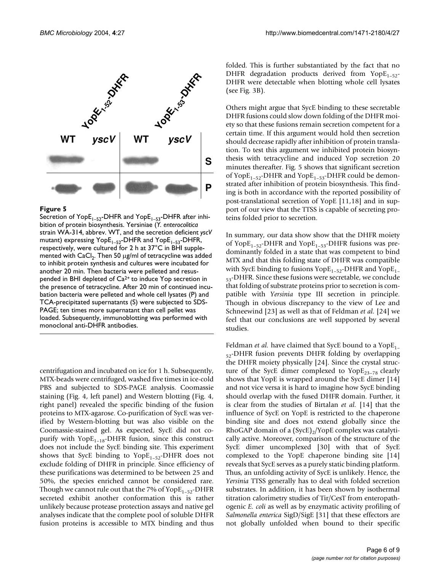

#### Figure 5

Secretion of YopE<sub>1–52</sub>-DHFR and YopE<sub>1–53</sub>-DHFR after inhibition of protein biosynthesis. Yersiniae (*Y. enterocolitica*  strain WA-314, abbrev. WT, and the secretion deficient *yscV*  mutant) expressing  $Y$ opE<sub>1–52</sub>-DHFR and  $Y$ opE<sub>1–53</sub>-DHFR, respectively, were cultured for 2 h at 37°C in BHI supplemented with  $CaCl<sub>2</sub>$ . Then 50  $\mu$ g/ml of tetracycline was added to inhibit protein synthesis and cultures were incubated for another 20 min. Then bacteria were pelleted and resuspended in BHI depleted of  $Ca^{2+}$  to induce Yop secretion in the presence of tetracycline. After 20 min of continued incubation bacteria were pelleted and whole cell lysates (P) and TCA-precipitated supernatants (S) were subjected to SDS-PAGE; ten times more supernatant than cell pellet was loaded. Subsequently, immunoblotting was performed with monoclonal anti-DHFR antibodies.

centrifugation and incubated on ice for 1 h. Subsequently, MTX-beads were centrifuged, washed five times in ice-cold PBS and subjected to SDS-PAGE analysis. Coomassie staining (Fig. 4, left panel) and Western blotting (Fig. 4, right panel) revealed the specific binding of the fusion proteins to MTX-agarose. Co-purification of SycE was verified by Western-blotting but was also visible on the Coomassie-stained gel. As expected, SycE did not copurify with  $Y$ op $E_{1-18}$ -DHFR fusion, since this construct does not include the SycE binding site. This experiment shows that SycE binding to  $Y$ op $E_{1-52}$ -DHFR does not exclude folding of DHFR in principle. Since efficiency of these purifications was determined to be between 25 and 50%, the species enriched cannot be considered rare. Though we cannot rule out that the 7% of  $Y$ op $E_{1-52}$ -DHFR secreted exhibit another conformation this is rather unlikely because protease protection assays and native gel analyses indicate that the complete pool of soluble DHFR fusion proteins is accessible to MTX binding and thus

folded. This is further substantiated by the fact that no DHFR degradation products derived from  $Y$ op $E_{1-52}$ -DHFR were detectable when blotting whole cell lysates (see Fig. 3B).

Others might argue that SycE binding to these secretable DHFR fusions could slow down folding of the DHFR moiety so that these fusions remain secretion competent for a certain time. If this argument would hold then secretion should decrease rapidly after inhibition of protein translation. To test this argument we inhibited protein biosynthesis with tetracycline and induced Yop secretion 20 minutes thereafter. Fig. 5 shows that significant secretion of YopE<sub>1-52</sub>-DHFR and YopE<sub>1-53</sub>-DHFR could be demonstrated after inhibition of protein biosynthesis. This finding is both in accordance with the reported possibility of post-translational secretion of YopE [\[11](#page-8-1),[18](#page-8-5)] and in support of our view that the TTSS is capable of secreting proteins folded prior to secretion.

In summary, our data show show that the DHFR moiety of YopE<sub>1–52</sub>-DHFR and YopE<sub>1–53</sub>-DHFR fusions was predominantly folded in a state that was competent to bind MTX and that this folding state of DHFR was compatible with SycE binding to fusions  $Y$ op $E_{1-52}$ -DHFR and  $Y$ op $E_{1-52}$ 53-DHFR. Since these fusions were secretable, we conclude that folding of substrate proteins prior to secretion is compatible with *Yersinia* type III secretion in principle. Though in obvious discrepancy to the view of Lee and Schneewind [\[23](#page-8-6)] as well as that of Feldman *et al.* [\[24](#page-8-7)] we feel that our conclusions are well supported by several studies.

Feldman *et al.* have claimed that SycE bound to a  $YOPE_{1-}$  $_{52}$ -DHFR fusion prevents DHFR folding by overlapping the DHFR moiety physically [[24](#page-8-7)]. Since the crystal structure of the SycE dimer complexed to  $Y^{2,2}$ <sub>23–78</sub> clearly shows that YopE is wrapped around the SycE dimer [14] and not vice versa it is hard to imagine how SycE binding should overlap with the fused DHFR domain. Further, it is clear from the studies of Birtalan *et al.* [14] that the influence of SycE on YopE is restricted to the chaperone binding site and does not extend globally since the RhoGAP domain of a  $(SyCE)_{2}/Y$ opE complex was catalytically active. Moreover, comparison of the structure of the SycE dimer uncomplexed [\[30\]](#page-8-10) with that of SycE complexed to the YopE chaperone binding site [14] reveals that SycE serves as a purely static binding platform. Thus, an unfolding activity of SycE is unlikely. Hence, the *Yersinia* TTSS generally has to deal with folded secretion substrates. In addition, it has been shown by isothermal titration calorimetry studies of Tir/CesT from enteropathogenic *E. coli* as well as by enzymatic activity profiling of *Salmonella enterica* SigD/SigE [31] that these effectors are not globally unfolded when bound to their specific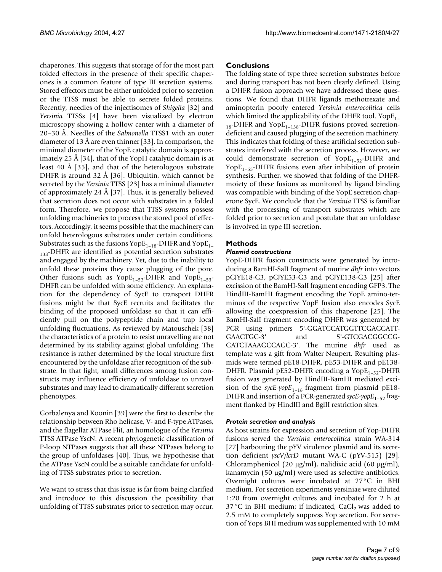chaperones. This suggests that storage of for the most part folded effectors in the presence of their specific chaperones is a common feature of type III secretion systems. Stored effectors must be either unfolded prior to secretion or the TTSS must be able to secrete folded proteins. Recently, needles of the injectisomes of *Shigella* [[32\]](#page-8-11) and *Yersinia* TTSSs [[4](#page-7-2)] have been visualized by electron microscopy showing a hollow center with a diameter of 20–30 Å. Needles of the *Salmonella* TTSS1 with an outer diameter of 13 Å are even thinner [\[33](#page-8-12)]. In comparison, the minimal diameter of the YopE catalytic domain is approximately 25 Å [\[34](#page-8-13)], that of the YopH catalytic domain is at least 40 Å [35], and that of the heterologous substrate DHFR is around 32 Å [36]. Ubiquitin, which cannot be secreted by the *Yersinia* TTSS [[23](#page-8-6)] has a minimal diameter of approximately 24 Å [37]. Thus, it is generally believed that secretion does not occur with substrates in a folded form. Therefore, we propose that TTSS systems possess unfolding machineries to process the stored pool of effectors. Accordingly, it seems possible that the machinery can unfold heterologous substrates under certain conditions. Substrates such as the fusions  $\text{Yope}_{1-18}$ -DHFR and  $\text{Yope}_{1-18}$ <sub>138</sub>-DHFR are identified as potential secretion substrates and engaged by the machinery. Yet, due to the inability to unfold these proteins they cause plugging of the pore. Other fusions such as  $Y$ op $E_{1-52}$ -DHFR and  $Y$ op $E_{1-53}$ -DHFR can be unfolded with some efficiency. An explanation for the dependency of SycE to transport DHFR fusions might be that SycE recruits and facilitates the binding of the proposed unfoldase so that it can efficiently pull on the polypeptide chain and trap local unfolding fluctuations. As reviewed by Matouschek [[38\]](#page-8-14) the characteristics of a protein to resist unravelling are not determined by its stability against global unfolding. The resistance is rather determined by the local structure first encountered by the unfoldase after recognition of the substrate. In that light, small differences among fusion constructs may influence efficiency of unfoldase to unravel substrates and may lead to dramatically different secretion phenotypes.

Gorbalenya and Koonin [39] were the first to describe the relationship between Rho helicase, V- and F-type ATPases, and the flagellar ATPase FliI, an homologue of the *Yersinia* TTSS ATPase YscN. A recent phylogenetic classification of P-loop NTPases suggests that all these NTPases belong to the group of unfoldases [40]. Thus, we hypothesise that the ATPase YscN could be a suitable candidate for unfolding of TTSS substrates prior to secretion.

We want to stress that this issue is far from being clarified and introduce to this discussion the possibility that unfolding of TTSS substrates prior to secretion may occur.

## **Conclusions**

The folding state of type three secretion substrates before and during transport has not been clearly defined. Using a DHFR fusion approach we have addressed these questions. We found that DHFR ligands methotrexate and aminopterin poorly entered *Yersinia enterocolitica* cells which limited the applicability of the DHFR tool.  $Y_{\text{OPE}_1}$  $_{18}$ -DHFR and Yop $E_{1-138}$ -DHFR fusions proved secretiondeficient and caused plugging of the secretion machinery. This indicates that folding of these artificial secretion substrates interfered with the secretion process. However, we could demonstrate secretion of  $Y$ op $E_{1-52}$ -DHFR and Yop $E_{1-53}$ -DHFR fusions even after inhibition of protein synthesis. Further, we showed that folding of the DHFRmoiety of these fusions as monitored by ligand binding was compatible with binding of the YopE secretion chaperone SycE. We conclude that the *Yersinia* TTSS is familiar with the processing of transport substrates which are folded prior to secretion and postulate that an unfoldase is involved in type III secretion.

## **Methods**

#### *Plasmid constructions*

YopE-DHFR fusion constructs were generated by introducing a BamHI-SalI fragment of murine *dhfr* into vectors pCJYE18-G3, pCJYE53-G3 and pCJYE138-G3 [[25](#page-8-8)] after excission of the BamHI-SalI fragment encoding GFP3. The HindIII-BamHI fragment encoding the YopE amino-terminus of the respective YopE fusion also encodes SycE allowing the coexpression of this chaperone [\[25\]](#page-8-8). The BamHI-SalI fragment encoding DHFR was generated by PCR using primers 5'-GGATCCATGGTTCGACCATT-GAACTGC-3' and 5'-GTCGACGGCCG-GATCTAAAGCCAGC-3'. The murine *dhfr* used as template was a gift from Walter Neupert. Resulting plasmids were termed pE18-DHFR, pE53-DHFR and pE138- DHFR. Plasmid pE52-DHFR encoding a Yop $E_{1-52}$ -DHFR fusion was generated by HindIII-BamHI mediated excision of the  $\frac{spec\text{-}popE_{1-18}}{rms}$  fragment from plasmid pE18-DHFR and insertion of a PCR-generated *sycE-yopE*<sub>1-52</sub> fragment flanked by HindIII and BglII restriction sites.

## *Protein secretion and analysis*

As host strains for expression and secretion of Yop-DHFR fusions served the *Yersinia enterocolitica* strain WA-314 [27] harbouring the pYV virulence plasmid and its secretion deficient *yscV/lcrD* mutant WA-C (pYV-515) [\[29](#page-8-9)]. Chloramphenicol (20 µg/ml), nalidixic acid (60 µg/ml), kanamycin (50 µg/ml) were used as selective antibiotics. Overnight cultures were incubated at 27°C in BHI medium. For secretion experiments yersiniae were diluted 1:20 from overnight cultures and incubated for 2 h at  $37^{\circ}$ C in BHI medium; if indicated, CaCl<sub>2</sub> was added to 2.5 mM to completely suppress Yop secretion. For secretion of Yops BHI medium was supplemented with 10 mM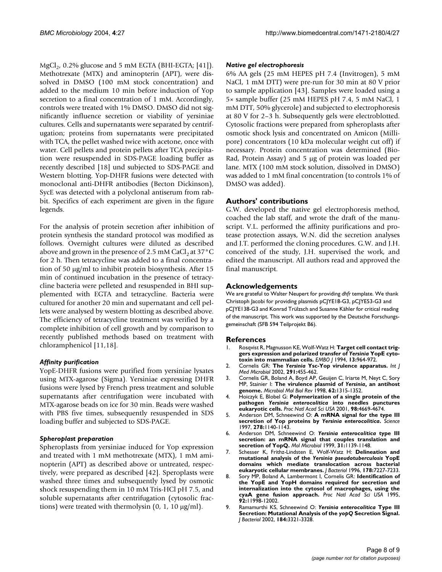MgCl<sub>2</sub>, 0.2% glucose and 5 mM EGTA (BHI-EGTA; [\[41](#page-8-15)]). Methotrexate (MTX) and aminopterin (APT), were dissolved in DMSO (100 mM stock concentration) and added to the medium 10 min before induction of Yop secretion to a final concentration of 1 mM. Accordingly, controls were treated with 1% DMSO. DMSO did not significantly influence secretion or viability of yersiniae cultures. Cells and supernatants were separated by centrifugation; proteins from supernatants were precipitated with TCA, the pellet washed twice with acetone, once with water. Cell pellets and protein pellets after TCA precipitation were resuspended in SDS-PAGE loading buffer as recently described [[18](#page-8-5)] und subjected to SDS-PAGE and Western blotting. Yop-DHFR fusions were detected with monoclonal anti-DHFR antibodies (Becton Dickinson), SycE was detected with a polyclonal antiserum from rabbit. Specifics of each experiment are given in the figure legends.

For the analysis of protein secretion after inhibition of protein synthesis the standard protocol was modified as follows. Overnight cultures were diluted as described above and grown in the presence of 2.5 mM CaCl<sub>2</sub> at 37 $\rm{^{\circ}C}$ for 2 h. Then tetracycline was added to a final concentration of 50 µg/ml to inhibit protein biosynthesis. After 15 min of continued incubation in the presence of tetracycline bacteria were pelleted and resuspended in BHI supplemented with EGTA and tetracycline. Bacteria were cultured for another 20 min and supernatant and cell pellets were analysed by western blotting as described above. The efficiency of tetracycline treatment was verified by a complete inhibition of cell growth and by comparison to recently published methods based on treatment with chloramphenicol [\[11](#page-8-1),[18\]](#page-8-5).

## *Affinity purification*

YopE-DHFR fusions were purified from yersiniae lysates using MTX-agarose (Sigma). Yersiniae expressing DHFR fusions were lysed by French press treatment and soluble supernatants after centrifugation were incubated with MTX-agarose beads on ice for 30 min. Beads were washed with PBS five times, subsequently resuspended in SDS loading buffer and subjected to SDS-PAGE.

## *Spheroplast preparation*

Spheroplasts from yersiniae induced for Yop expression and treated with 1 mM methotrexate (MTX), 1 mM aminopterin (APT) as described above or untreated, respectively, were prepared as described [\[42](#page-8-16)]. Speroplasts were washed three times and subsequently lysed by osmotic shock resuspending them in 10 mM Tris-HCl pH 7.5, and soluble supernatants after centrifugation (cytosolic fractions) were treated with thermolysin  $(0, 1, 10 \mu g/ml)$ .

#### *Native gel electrophoresis*

6% AA gels (25 mM HEPES pH 7.4 (Invitrogen), 5 mM NaCl, 1 mM DTT) were pre-run for 30 min at 80 V prior to sample application [[43\]](#page-8-17). Samples were loaded using a 5× sample buffer (25 mM HEPES pH 7.4, 5 mM NaCl, 1 mM DTT, 50% glycerole) and subjected to electrophoresis at 80 V for 2–3 h. Subsequently gels were electroblotted. Cytosolic fractions were prepared from spheroplasts after osmotic shock lysis and concentrated on Amicon (Millipore) concentrators (10 kDa molecular weight cut off) if necessary. Protein concentration was determined (Bio-Rad, Protein Assay) and 5 µg of protein was loaded per lane. MTX (100 mM stock solution, dissolved in DMSO) was added to 1 mM final concentration (to controls 1% of DMSO was added).

## **Authors' contributions**

G.W. developed the native gel electrophoresis method, coached the lab staff, and wrote the draft of the manuscript. V.L. performed the affinity purifications and protease protection assays, W.N. did the secretion analyses and J.T. performed the cloning procedures. G.W. and J.H. conceived of the study, J.H. supervised the work, and edited the manuscript. All authors read and approved the final manuscript.

#### **Acknowledgements**

We are grateful to Walter Neupert for providing *dhfr* template. We thank Christoph Jacobi for providing plasmids pCJYE18-G3, pCJYE53-G3 and pCJYE138-G3 and Konrad Trülzsch and Susanne Kähler for critical reading of the manuscript. This work was supported by the Deutsche Forschungsgemeinschaft (SFB 594 Teilprojekt B6).

#### **References**

- <span id="page-7-0"></span>1. Rosqvist R, Magnusson KE, Wolf-Watz H: **Target cell contact triggers expression and polarized transfer of** *Yersinia* **[YopE cyto](http://www.ncbi.nlm.nih.gov/entrez/query.fcgi?cmd=Retrieve&db=PubMed&dopt=Abstract&list_uids=8112310)[toxin into mammalian cells.](http://www.ncbi.nlm.nih.gov/entrez/query.fcgi?cmd=Retrieve&db=PubMed&dopt=Abstract&list_uids=8112310)** *EMBO J* 1994, **13:**964-972.
- 2. Cornelis GR: **The** *Yersinia* **[Ysc-Yop virulence apparatus.](http://www.ncbi.nlm.nih.gov/entrez/query.fcgi?cmd=Retrieve&db=PubMed&dopt=Abstract&list_uids=11890544)** *Int J Med Microbiol* 2002, **291:**455-462.
- <span id="page-7-1"></span>3. Cornelis GR, Boland A, Boyd AP, Geuijen C, Iriarte M, Neyt C, Sory MP, Stainier I: **The virulence plasmid of** *Yersinia***[, an antihost](http://www.ncbi.nlm.nih.gov/entrez/query.fcgi?cmd=Retrieve&db=PubMed&dopt=Abstract&list_uids=9841674) [genome.](http://www.ncbi.nlm.nih.gov/entrez/query.fcgi?cmd=Retrieve&db=PubMed&dopt=Abstract&list_uids=9841674)** *Microbiol Mol Biol Rev* 1998, **62:**1315-1352.
- <span id="page-7-2"></span>4. Hoiczyk E, Blobel G: **Polymerization of a single protein of the pathogen** *Yersinia enterocolitica* **[into needles punctures](http://www.ncbi.nlm.nih.gov/entrez/query.fcgi?cmd=Retrieve&db=PubMed&dopt=Abstract&list_uids=10.1073/pnas.071065798) [eukaryotic cells](http://www.ncbi.nlm.nih.gov/entrez/query.fcgi?cmd=Retrieve&db=PubMed&dopt=Abstract&list_uids=10.1073/pnas.071065798)[.](http://www.ncbi.nlm.nih.gov/entrez/query.fcgi?cmd=Retrieve&db=PubMed&dopt=Abstract&list_uids=11287645)** *Proc Natl Acad Sci USA* 2001, **98:**4669-4674.
- 5. Anderson DM, Schneewind O: **A mRNA signal for the type III secretion of Yop proteins by** *Yersinia enterocolitica***[.](http://www.ncbi.nlm.nih.gov/entrez/query.fcgi?cmd=Retrieve&db=PubMed&dopt=Abstract&list_uids=9353199)** *Science* 1997, **278:**1140-1143.
- <span id="page-7-3"></span>6. Anderson DM, Schneewind O: *Yersinia enterocolitica* **[type III](http://www.ncbi.nlm.nih.gov/entrez/query.fcgi?cmd=Retrieve&db=PubMed&dopt=Abstract&list_uids=10.1046/j.1365-2958.1999.01254.x) [secretion: an mRNA signal that couples translation and](http://www.ncbi.nlm.nih.gov/entrez/query.fcgi?cmd=Retrieve&db=PubMed&dopt=Abstract&list_uids=10.1046/j.1365-2958.1999.01254.x) [secretion of YopQ](http://www.ncbi.nlm.nih.gov/entrez/query.fcgi?cmd=Retrieve&db=PubMed&dopt=Abstract&list_uids=10.1046/j.1365-2958.1999.01254.x)[.](http://www.ncbi.nlm.nih.gov/entrez/query.fcgi?cmd=Retrieve&db=PubMed&dopt=Abstract&list_uids=10096081)** *Mol Microbiol* 1999, **31:**1139-1148.
- <span id="page-7-5"></span>7. Schesser K, Frithz-Lindsten E, Wolf-Watz H: **Delineation and mutational analysis of the** *Yersinia pseudotuberculosis* **[YopE](http://www.ncbi.nlm.nih.gov/entrez/query.fcgi?cmd=Retrieve&db=PubMed&dopt=Abstract&list_uids=8955406) [domains which mediate translocation across bacterial](http://www.ncbi.nlm.nih.gov/entrez/query.fcgi?cmd=Retrieve&db=PubMed&dopt=Abstract&list_uids=8955406) [eukaryotic cellular membranes.](http://www.ncbi.nlm.nih.gov/entrez/query.fcgi?cmd=Retrieve&db=PubMed&dopt=Abstract&list_uids=8955406)** *J Bacteriol* 1996, **178:**7227-7233.
- 8. Sory MP, Boland A, Lambermont I, Cornelis GR: **[Identification of](http://www.ncbi.nlm.nih.gov/entrez/query.fcgi?cmd=Retrieve&db=PubMed&dopt=Abstract&list_uids=8618831) the YopE and YopH domains required for secretion and [internalization into the cytosol of macrophages, using the](http://www.ncbi.nlm.nih.gov/entrez/query.fcgi?cmd=Retrieve&db=PubMed&dopt=Abstract&list_uids=8618831) [cyaA gene fusion approach.](http://www.ncbi.nlm.nih.gov/entrez/query.fcgi?cmd=Retrieve&db=PubMed&dopt=Abstract&list_uids=8618831)** *Proc Natl Acad Sci USA* 1995, **92:**11998-12002.
- <span id="page-7-4"></span>9. Ramamurthi KS, Schneewind O: *Yersinia enterocolitica* **Type III Secretion: Mutational Analysis of the** *yopQ* **[Secretion Signal](http://www.ncbi.nlm.nih.gov/entrez/query.fcgi?cmd=Retrieve&db=PubMed&dopt=Abstract&list_uids=10.1128/JB.184.12.3321-3328.2002)[.](http://www.ncbi.nlm.nih.gov/entrez/query.fcgi?cmd=Retrieve&db=PubMed&dopt=Abstract&list_uids=12029049)** *J Bacteriol* 2002, **184:**3321-3328.